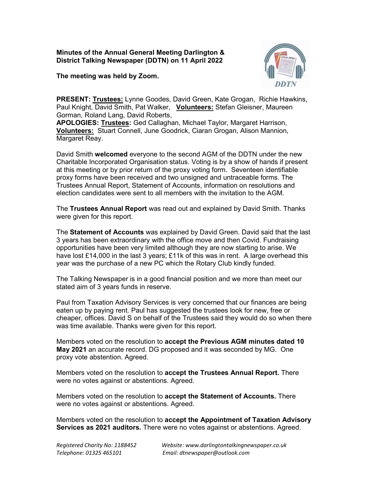Minutes of the Annual General Meeting Darlington & District Talking Newspaper (DDTN) on 11 April 2022

The meeting was held by Zoom.



PRESENT: Trustees: Lynne Goodes, David Green, Kate Grogan, Richie Hawkins, Paul Knight, David Smith, Pat Walker, Volunteers: Stefan Gleisner, Maureen Gorman, Roland Lang, David Roberts,

APOLOGIES: Trustees: Ged Callaghan, Michael Taylor, Margaret Harrison, Volunteers: Stuart Connell, June Goodrick, Ciaran Grogan, Alison Mannion, Margaret Reay.

David Smith welcomed everyone to the second AGM of the DDTN under the new Charitable Incorporated Organisation status. Voting is by a show of hands if present at this meeting or by prior return of the proxy voting form. Seventeen identifiable proxy forms have been received and two unsigned and untraceable forms. The Trustees Annual Report, Statement of Accounts, information on resolutions and election candidates were sent to all members with the invitation to the AGM.

The Trustees Annual Report was read out and explained by David Smith. Thanks were given for this report.

The Statement of Accounts was explained by David Green. David said that the last 3 years has been extraordinary with the office move and then Covid. Fundraising opportunities have been very limited although they are now starting to arise. We have lost £14,000 in the last 3 years; £11k of this was in rent. A large overhead this year was the purchase of a new PC which the Rotary Club kindly funded.

The Talking Newspaper is in a good financial position and we more than meet our stated aim of 3 years funds in reserve.

Paul from Taxation Advisory Services is very concerned that our finances are being eaten up by paying rent. Paul has suggested the trustees look for new, free or cheaper, offices. David S on behalf of the Trustees said they would do so when there was time available. Thanks were given for this report.

Members voted on the resolution to accept the Previous AGM minutes dated 10 May 2021 an accurate record. DG proposed and it was seconded by MG. One proxy vote abstention. Agreed.

Members voted on the resolution to accept the Trustees Annual Report. There were no votes against or abstentions. Agreed.

Members voted on the resolution to accept the Statement of Accounts. There were no votes against or abstentions. Agreed.

Members voted on the resolution to accept the Appointment of Taxation Advisory Services as 2021 auditors. There were no votes against or abstentions. Agreed.